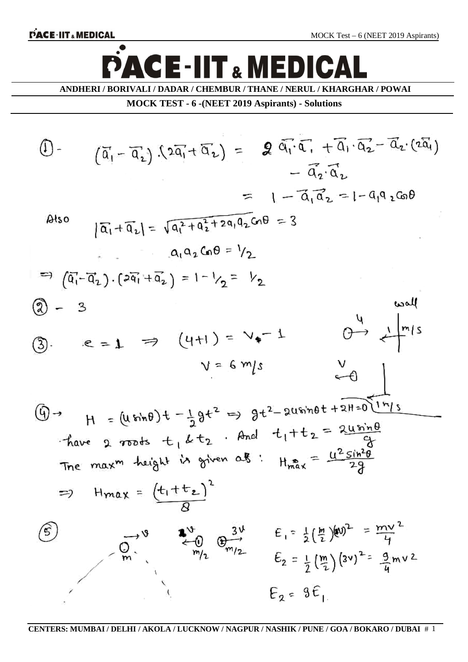$\bullet$ 

# **ACE-IIT & MEDICAL** D

**ANDHERI / BORIVALI / DADAR / CHEMBUR / THANE / NERUL / KHARGHAR / POWAI**

**MOCK TEST - 6 -(NEET 2019 Aspirants) - Solutions**

$$
\begin{array}{lll}\n\begin{aligned}\n\begin{aligned}\n\begin{aligned}\n\begin{pmatrix}\n\overline{a}_1 - \overline{a}_1\n\end{pmatrix} \quad \frac{1}{2} \overline{a}_1 + \overline{a}_2\n\end{aligned} = & \mathbf{Q} \quad \overline{a}_1 \cdot \overline{a}_1 + \overline{a}_1 \cdot \overline{a}_2 - \overline{a}_2 \cdot (\overline{a}_1) \\
& - \overline{a}_2 \cdot \overline{a}_2\n\end{aligned}\n\end{array}
$$
\n
$$
\begin{aligned}\n\begin{aligned}\n\begin{aligned}\n\text{Also} & |\overline{a}_1 + \overline{a}_2| &= \sqrt{a_1^2 + a_2^2 + 2a_1 a_2} \text{ and } 0.08 = 3\n\end{aligned}\n\end{aligned}
$$
\n
$$
\begin{aligned}\n\begin{aligned}\n\text{Also} & |\overline{a}_1 + \overline{a}_2| &= \sqrt{a_1^2 + a_2^2 + 2a_1 a_2} \text{ and } 0.08 = 3\n\end{aligned}
$$
\n
$$
\begin{aligned}\n\text{Also} & |\overline{a}_1 - \overline{a}_2| \cdot (\overline{a}_1 + \overline{a}_2) &= 1 - \frac{1}{2} \overline{a}_1^2 + 2a_1 a_1^2 \text{ and } 0.08 = 3\n\end{aligned}
$$
\n
$$
\begin{aligned}\n\text{Thus,} & |\overline{a}_1 - \overline{a}_2| \cdot (\overline{a}_1 + \overline{a}_2) &= 1 - \frac{1}{2} \overline{a}_1^2 - \frac{1}{2} \overline{a}_2^2\n\end{aligned}
$$
\n
$$
\begin{aligned}\n\text{Thus,} & |\overline{a}_1 + \overline{a}_2| &= \sqrt{(4+1)} = \sqrt{4-1} \quad \text{or} \quad \frac{1}{2} \text{ and } 0.08 = 3\n\end{aligned}
$$
\n
$$
\begin{aligned}\n\text{Thus,} & |\overline{a}_1 + \overline{a}_2| &= \sqrt{(4+1)} = \sqrt{4-1} \quad \text{or} \quad \frac{1}{2} \text{ and } 0.0
$$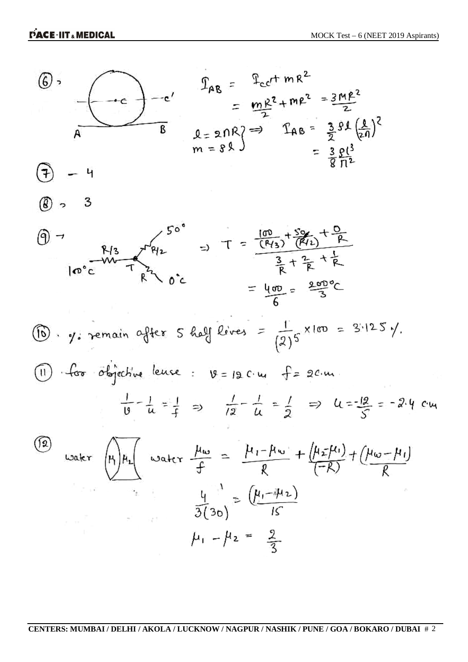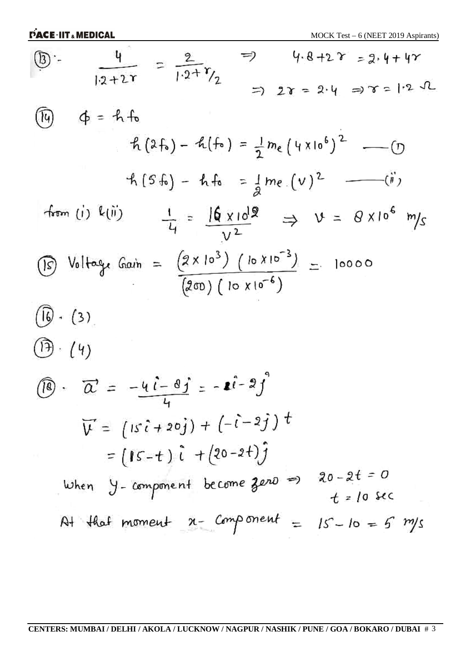| $4.8 + 2 \gamma = 2.4 + 4\gamma$<br>$\circled{3}$ :-<br>$\frac{4}{12+2r} = \frac{2}{1\cdot 2 + \gamma_2}$                           |
|-------------------------------------------------------------------------------------------------------------------------------------|
| $= 28 = 2.4 = 7 = 1.2 \text{ J}$                                                                                                    |
| $\phi = h f_0$<br>(14)                                                                                                              |
| $f_1(2f_0) - f_1(f_0) = \frac{1}{2} m_e (4 \times 10^6)^2$ - 0                                                                      |
| $f_1(5f_0) - f_1f_0 = \frac{1}{2}me(0)^2$ - (ii)                                                                                    |
| from (i) k(ii)<br>$\frac{1}{4} = \frac{16 \times 10^{19}}{v^2} \Rightarrow v = 8 \times 10^6 \text{ m/s}$                           |
| $\circled{15}$ Voltage Gain = $(2 \times 10^{3})$ (10 $\times 10^{-3}$ ) = 10000<br>$(200)$ ( $10 \times 10^{-6}$ )                 |
| $(\widehat{6} \cdot (3))$                                                                                                           |
| $(\mathfrak{H} \cdot / 4)$                                                                                                          |
| $\overrightarrow{B}$ $\overrightarrow{C}$ = $-\overrightarrow{u}i-\overrightarrow{g}j$ = $-\overrightarrow{u}i-\overrightarrow{g}j$ |
| $\overrightarrow{V} = (1s\hat{i} + 2\hat{0}\hat{j}) + (-\hat{i} - 2\hat{j})t$                                                       |
| $= (15-t) \hat{i} + (20-2t) \hat{j}$                                                                                                |
| $20 - 2t = 0$<br>When Y-component become zero =><br>$t$ = 10 sec                                                                    |
| At that moment $x-$ component $=$<br>$15 - 10 = 5$ m/s                                                                              |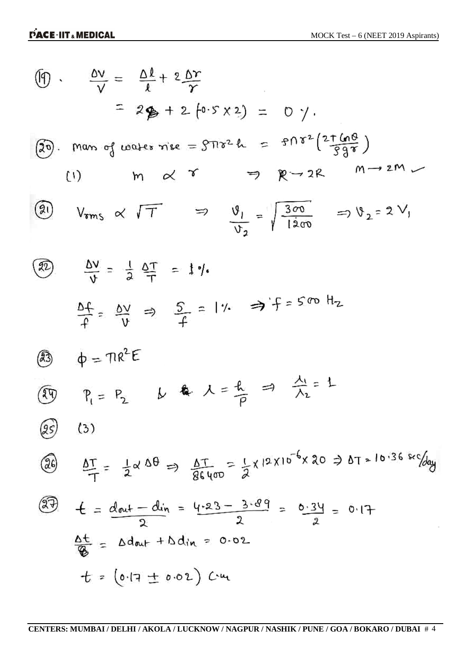$$
\frac{dy}{y} = \frac{\Delta l}{l} + 2\frac{dr}{r}
$$
\n
$$
= 2\frac{R}{l} + 2\frac{dr}{r}
$$
\n
$$
= 2\frac{R}{l} + 2\frac{dr}{r}
$$
\n(30.  $\frac{R}{v}$  m or  $\frac{d}{v}$  to the x is  $x = \frac{3\pi z}{L} = \frac{3\pi i}{2}$   $\frac{25\pi}{2}$  m  $\rightarrow 2R$   
\n(9)  $V_{rms} \propto \sqrt{T}$   $\Rightarrow \frac{y}{v_2} = \sqrt{\frac{3\pi}{1200}} \Rightarrow v_2 = 2V$ ,  
\n(1)  $m \propto \sqrt{T}$   $\Rightarrow \frac{y}{v_2} = \sqrt{\frac{3\pi}{1200}} \Rightarrow v_2 = 2V$ ,  
\n(2)  $\frac{\Delta V}{V} = \frac{1}{2} \frac{\Delta T}{T} = 1$ ,  
\n $\frac{\Delta f}{f} = \frac{\Delta V}{V} \Rightarrow \frac{5}{f} = 1$ ,  
\n $\frac{\Delta f}{f} = \frac{\Delta V}{V} \Rightarrow \frac{5}{f} = 1$ ,  
\n $\frac{\Delta f}{f} = \frac{P}{V} = \frac{1}{2} \times \frac{4\pi}{5} = \frac{4}{5} \times \frac{12 \times 10^{-6} \times 20}{12} = 0.17 = 10.36 \text{ kg}$   
\n(3)  $\frac{dT}{T} = \frac{1}{2} \times \frac{4\pi}{5} = \frac{4}{2} \times \frac{12 \times 10^{-6} \times 20}{2} = 0.17$   
\n $\frac{\Delta f}{Q} = \Delta d_{out} + \Delta d_{in} = \frac{4.23 - 3.89}{2} = \frac{0.39}{2} = 0.17$   
\n $\frac{\Delta f}{Q} = \Delta d_{out} + \Delta d_{in} = 0.02$   
\n $t = (0.17 \pm 0.02) C_{in}$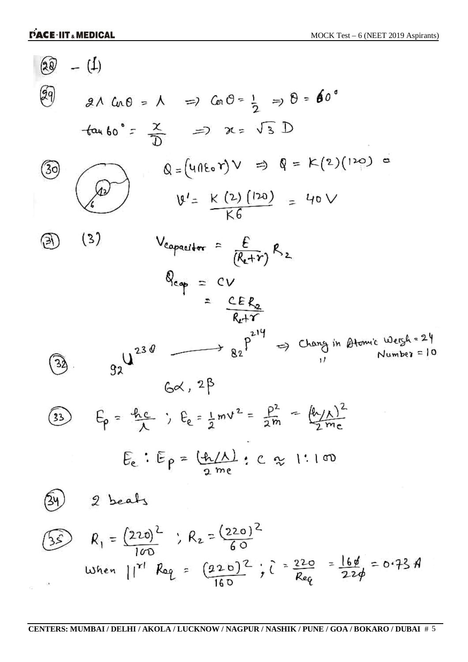$\sim 100$ 

$$
\begin{array}{lll}\n\text{(a)} & -(\frac{1}{4}) \\
\hline\n\text{(b)} & \text{a} \land \text{a} \cdot 0 = \text{A} \implies \text{a} \cdot 0 = \frac{1}{2} \implies 0 = 60^\circ \\
\text{tan 60} = \frac{x}{D} & \text{m} \implies \text{a} \cdot 0 = \sqrt{3} D \\
\hline\n\text{(b)} & \text{a} = (4 \cdot 0^2) \implies x = \sqrt{3} D \\
\hline\n\text{(c)} & \text{b} = (4 \cdot 0^2) \implies x = \sqrt{3} D \\
\hline\n\text{(d)} & \text{b} = (4 \cdot 0^2) \implies x = \sqrt{3} D \\
\hline\n\text{(e)} & \text{c} = (4 \cdot 0^2) \implies x = \sqrt{3} D \\
\hline\n\text{(f)} & \text{c} = (4 \cdot 0^2) \implies x = \sqrt{3} D \\
\hline\n\text{(g)} & \text{d} = (4 \cdot 0^2) \implies x = \sqrt{3} D \\
\hline\n\text{(h)} & \text{d} = (4 \cdot 0^2) \implies x = \sqrt{3} D \\
\hline\n\text{(i)} & \text{d} = (4 \cdot 0^2) \implies x = \sqrt{3} D \\
\hline\n\text{(ii)} & \text{d} = (4 \cdot 0^2) \implies x = \sqrt{3} D \\
\hline\n\text{(b)} & \text{d} = (4 \cdot 0^2) \implies x = \sqrt{3} D \\
\hline\n\text{(c)} & \text{d} = (4 \cdot 0^2) \implies x = \sqrt{3} D \\
\hline\n\text{(d)} & \text{d} = (4 \cdot 0^2) \implies x = \sqrt{3} D \\
\hline\n\text{(e)} & \text{f} & \text{f} & \text{f} & \text{f} & \text{f} & \text{f} \\
\hline\n\text{(f)} & \text{f} & \text{f} & \text{f} & \text{f} & \text{f} \\
\hline\n\text{(g)} & \text{(h)} & \text{(i)} & \text{(j)} & \text{(k)} & \text{(k)}
$$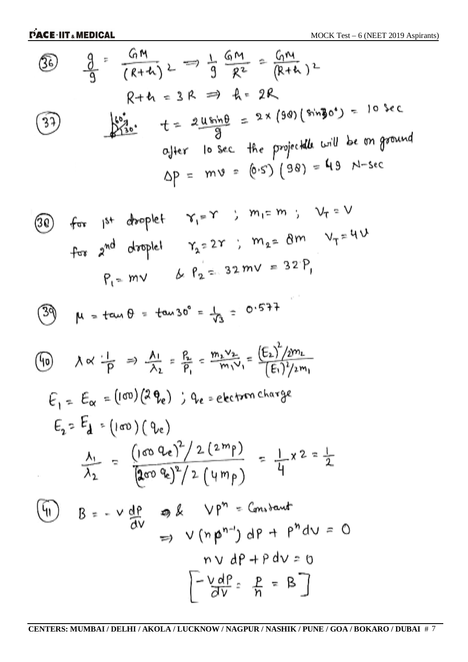36) 
$$
\frac{9}{9} = \frac{GM}{(R+h)} \ge \frac{1}{9} = \frac{GM}{R^2} = \frac{G_1M}{(R+h)^2}
$$
  
\n $R+h = 3R \Rightarrow A = 2R$   
\n37)  $\frac{169}{280} + \frac{2 \text{U} \sin \theta}{9} = 2 \times (99)(\sin 30^\circ) = 10 \text{ sec}$   
\n $\frac{G_1}{3} + \frac{1}{2} = \frac{2 \text{U} \sin \theta}{9} = 2 \times (99)(\sin 30^\circ) = 10 \text{ sec}$   
\n $\frac{G_1}{3} + \frac{1}{2} = \frac{2 \text{U} \sin \theta}{9} = 2 \times (99)(\sin 30^\circ) = 10 \text{ sec}$   
\n $\frac{G_1}{3} + \frac{1}{2} = \frac{2 \text{U} \sin \theta}{9} = 2 \times (99)(\sin 30^\circ) = 10 \text{ sec}$ 

(30) for 
$$
1^{st}
$$
 droplet  $\gamma_1 = 1$ ,  $m_2 = 8m$   $V_T = 4V$   
For  $2^{nd}$  droplet  $\gamma_2 = 2r$ ,  $m_2 = 8m$   $V_T = 4V$   
 $P_1 = mV$   $\& P_2 = 32 \, mV = 32'P_1$ 

 $e^{\pm i\theta}$ 

$$
39 \quad \mu = \tan \theta = \tan 30^{\circ} = \frac{1}{\sqrt{3}} = 0.577
$$

(6)

\n
$$
\begin{aligned}\n\lambda \propto \frac{1}{p} &\Rightarrow \frac{\Lambda_1}{\lambda_2} = \frac{R_2}{p_1} = \frac{m_2 v_2}{m_1 v_1} = \frac{(E_2)^2 / 2m_1}{(E_1)^2 / 2m_1} \\
E_1 = E_\alpha = \left[ (\infty) (2 \theta_e) \right] \quad \text{if} \quad \theta_e = \text{electron charge} \\
E_2 = E_d = \left( (\infty) (0 \text{ e}) \right. \\
\frac{\Lambda_1}{\lambda_2} &= \frac{\left( (\infty \, 0 \, e)^2 \right) / 2 (2m_1)}{2 \pi (0 \, 0 \, e)^2 / 2 (1 m_1)} = \frac{1}{4} \times 2 = \frac{1}{2}\n\end{aligned}
$$
\n(6)

\n
$$
\begin{aligned}\nB = -v \frac{dP}{dv} \quad \text{where} \quad \theta_e = \frac{v_1 v_2}{2} = \frac{1}{2} \text{ and } v_1 v_2 = 0 \\
V = \frac{v_1 v_2}{2} = \frac{P}{2} = 0\n\end{aligned}
$$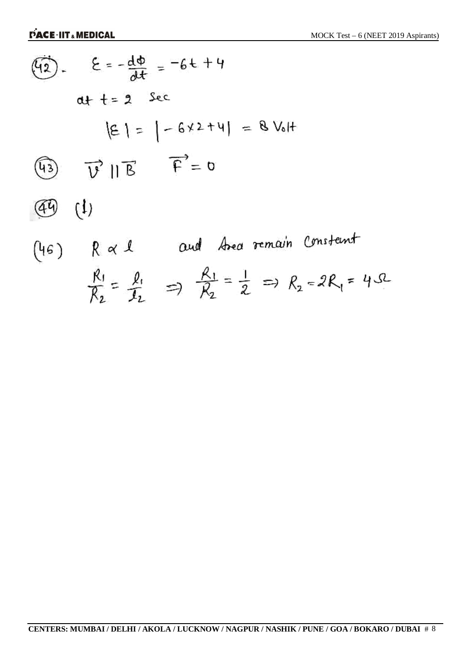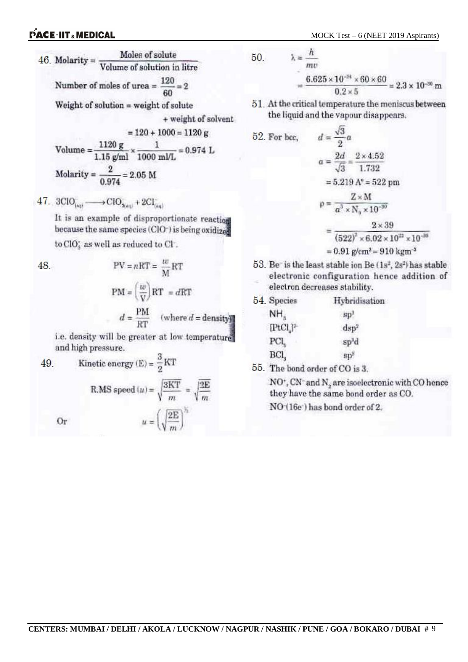

Number of moles of urea =  $\frac{120}{60}$  = 2

Weight of solution = weight of solute

+ weight of solvent

52.

$$
= 120 + 1000 = 1120 \text{ g}
$$

Volume = 
$$
\frac{1120 \text{ g}}{1.15 \text{ g/ml}} \times \frac{1}{1000 \text{ m/L}} = 0.974 \text{ L}
$$
  
Molarity =  $\frac{2}{0.974} = 2.05 \text{ M}$ 

47. 
$$
3ClO_{(eq)} \longrightarrow ClO_{3(\text{end})} + 2Cl_{(eq)}^-
$$

 $......$ 

It is an example of disproportionate reaction because the same species (ClO<sup>-</sup>) is being oxidized

 $PV = nRT = \frac{w}{m}RT$ 

to ClO<sub>s</sub> as well as reduced to Cl<sup>.</sup>.

48.

 $\mathbf{u}$ 

$$
PM = \left(\frac{w}{V}\right) RT = dRT
$$
  

$$
d = \frac{PM}{RT} \quad \text{(where } d = \text{density)}
$$

i.e. density will be greater at low temperature. and high pressure.

49. Kinetic energy (E) = 
$$
\frac{3}{2}
$$
KT  
R.MS speed (*u*) =  $\sqrt{\frac{3KT}{m}} = \sqrt{\frac{3E}{m}}$   
Or  $u = \left(\sqrt{\frac{2E}{m}}\right)^{1/2}$ 

50. 
$$
\lambda = \frac{h}{mv}
$$

$$
= \frac{6.625 \times 10^{-14} \times 60 \times 60}{0.2 \times 5} = 2.3 \times 10^{-30} \text{ m}
$$

51. At the critical temperature the meniscus between the liquid and the vapour disappears.

For bcc, 
$$
d = \frac{\sqrt{3}}{2}a
$$
  
\n $a = \frac{2d}{\sqrt{3}} = \frac{2 \times 4.52}{1.732}$   
\n $= 5.219 \text{ A}^9 = 522 \text{ pm}$   
\n $\rho = \frac{Z \times \text{M}}{a^3 \times \text{N}_9 \times 10^{-30}}$   
\n $= \frac{2 \times 39}{(522)^2 \times 6.02 \times 10^{22} \times 10^{-36}}$   
\n $= 0.91 \text{ g/cm}^3 = 910 \text{ km}^{-3}$ 

53. Be is the least stable ion Be (1s<sup>2</sup>, 2s<sup>2</sup>) has stable electronic configuration hence addition of electron decreases stability.

| Hybridisation     |
|-------------------|
| sp                |
| dsp <sup>2</sup>  |
| sp <sup>3</sup> d |
| SD <sup>2</sup>   |
|                   |

55. The bond order of CO is 3.

 $\mathrm{NO^*}, \mathrm{CN^*}$  and  $\mathrm{N}_2$  are isoelectronic with CO hence they have the same bond order as CO.

NO (16e) has bond order of 2.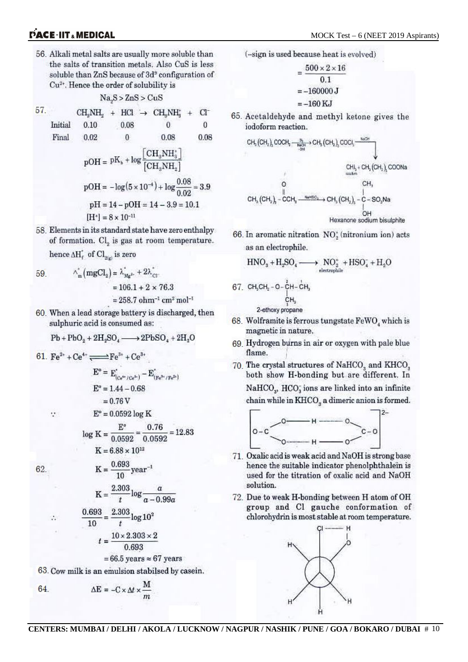56. Alkali metal salts are usually more soluble than the salts of transition metals. Also CuS is less soluble than ZnS because of 3d<sup>9</sup> configuration of Cu<sup>2+</sup>. Hence the order of solubility is

$$
Na.S > ZnS > CuS
$$

$$
\begin{array}{ccccccccc}\n57. & & CH_3NH_2 & + & HCl & \rightarrow & CH_3NH_3^* & + & Cl^- \\
\text{Initial} & 0.10 & & 0.08 & & 0 & & 0 \\
\text{Final} & 0.02 & & 0 & & 0.08 & & 0.08 \\
\end{array}
$$

$$
pOH = pK_b + log \frac{[CH_3NH_3^*]}{[CH_3NH_2]}
$$
  
\n
$$
pOH = -log(5 \times 10^{-4}) + log \frac{0.08}{0.02} = 3.9
$$
  
\n
$$
pH = 14 - pOH = 14 - 3.9 = 10.1
$$
  
\n
$$
[H^*] = 8 \times 10^{-11}
$$

58. Elements in its standard state have zero enthalpy of formation. Cl<sub>2</sub> is gas at room temperature. hence  $\Delta H_f^*$  of  $Cl_{\mathfrak{g}(q)}$  is zero

59. 
$$
\wedge_{m}^{*} (mgCl_{2}) = \lambda_{Mg^{2}}^{*} + 2\lambda_{Cl}^{*}
$$

$$
= 106.1 + 2 \times 76.3
$$

 $= 258.7$  ohm<sup>-1</sup> cm<sup>2</sup> mol<sup>-1</sup>

60. When a lead storage battery is discharged, then sulphuric acid is consumed as:

$$
Pb + PbO2 + 2H2SO4 \longrightarrow 2PbSO4 + 2H2O
$$

61.  $\text{Fe}^{2+} + \text{Ce}^{4+} \longrightarrow \text{Fe}^{3+} + \text{Ce}^{3+}$ 

÷

 $\ddot{\cdot}$ 

62.

$$
E^{\circ} = E_{(Ce^{4x}/Ce^{4x})}^{*} - E_{(Fe^{3x}/Fe^{2x})}^{*}
$$
  
\n
$$
E^{\circ} = 1.44 - 0.68
$$
  
\n
$$
= 0.76 \text{ V}
$$
  
\n
$$
E^{\circ} = 0.0592 \log \text{ K}
$$
  
\n
$$
\log \text{ K} = \frac{E^{\circ}}{0.0592} = \frac{0.76}{0.0592} = 12.83
$$
  
\n
$$
\text{K} = 6.88 \times 10^{12}
$$
  
\n
$$
\text{K} = \frac{0.693}{10} \text{ year}^{-1}
$$
  
\n
$$
\text{K} = \frac{2.303}{t} \log \frac{a}{a - 0.99a}
$$
  
\n
$$
\frac{0.693}{10} = \frac{2.303}{t} \log 10^{2}
$$
  
\n
$$
t = \frac{10 \times 2.303 \times 2}{0.693}
$$

 $= 66.5$  years  $\approx 67$  years

63. Cow milk is an emulsion stabilsed by casein.

$$
\Delta E = -C \times \Delta t \times \frac{M}{m}
$$

(-sign is used because heat is evolved)

$$
=\frac{500\times2\times16}{0.1}
$$

$$
=-160000\text{ J}
$$

$$
=-160\text{ KJ}
$$

65. Acetaldehyde and methyl ketone gives the iodoform reaction.

$$
\begin{array}{ccc}\n\text{CH}_{3}\left(\text{CH}_{2}\right)_{2}\text{COCH}_{3} & \xrightarrow{26} \text{CH}_{3}\left(\text{CH}_{2}\right)_{3}\text{COCl}_{3} & & \\
\text{CH}_{3} + \text{CH}_{3}\left(\text{CH}_{2}\right)_{2}\text{COONa} & & \\
\text{CH}_{3} + \text{CH}_{3}\left(\text{CH}_{2}\right)_{3}\text{COONa} & \\
\text{CH}_{3}\left(\text{CH}_{2}\right)_{3} - \text{CCH}_{3} & & \\
\text{CH}_{3}\left(\text{CH}_{2}\right)_{3} - \text{CCH}_{3} & & \\
\text{Hessence sodium bisulphite}\n\end{array}
$$

66. In aromatic nitration NO<sub>2</sub> (nitronium ion) acts as an electrophile.

$$
HNO_3 + H_2SO_4 \xrightarrow{\hspace*{1.5cm}} NO_2^+ + HSO_4^- + H_2O
$$

$$
67. CH3CH2 - 0 - \overset{5}{CH} - \overset{1}{CH}_{3}
$$
  
\n
$$
\underset{7}{\overset{1}{C}}H_{3}
$$
\n
$$
2-ethoxy oropen
$$

- 68. Wolframite is ferrous tungstate FeWO, which is magnetic in nature.
- 69 Hydrogen burns in air or oxygen with pale blue flame.
- 70. The crystal structures of NaHCO<sub>3</sub> and KHCO<sub>3</sub> both show H-bonding but are different. In  $NAHCO<sub>3</sub>$ ,  $HCO<sub>3</sub>$  ions are linked into an infinite chain while in KHCO<sub>s</sub> a dimeric anion is formed.



- 71. Oxalic acid is weak acid and NaOH is strong base hence the suitable indicator phenolphthalein is used for the titration of oxalic acid and NaOH solution.
- 72. Due to weak H-bonding between H atom of OH group and Cl gauche conformation of chlorohydrin is most stable at room temperature.

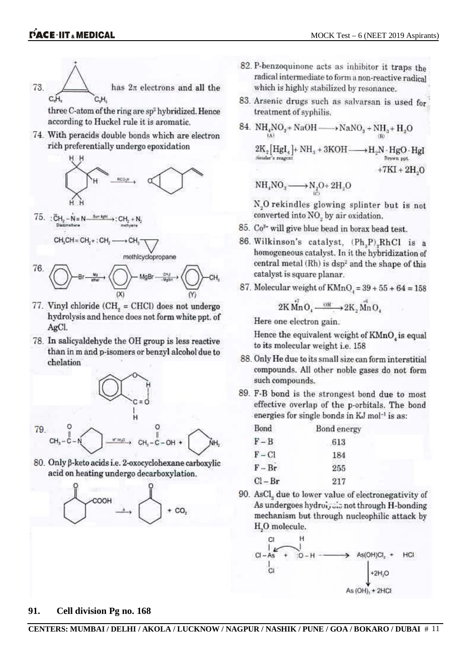

three C-atom of the ring are sp<sup>2</sup> hybridized. Hence according to Huckel rule it is aromatic.

74. With peracids double bonds which are electron rich preferentially undergo epoxidation



 $75.$ :  $CH<sub>2</sub> - N = N$ Sun kght  $\rightarrow$ : CH<sub>2</sub> + N<sub>2</sub>

$$
\mathsf{CH}_{\mathsf{S}}\mathsf{CH}=\mathsf{CH}_{\mathsf{Z}}+:\mathsf{CH}_{\mathsf{Z}}\longrightarrow \mathsf{CH}_{\mathsf{S}}\overline{\phantom{H}}
$$





- 77. Vinyl chloride (CH<sub>2</sub> = CHCl) does not undergo hydrolysis and hence does not form white ppt. of AgCl.
- 78. In salicyaldehyde the OH group is less reactive than in m and p-isomers or benzyl alcohol due to chelation



80. Only B-keto acids i.e. 2-oxocyclohexane carboxylic acid on heating undergo decarboxylation.



- 82. P-benzoquinone acts as inhibitor it traps the radical intermediate to form a non-reactive radical which is highly stabilized by resonance.
- 83. Arsenic drugs such as salvarsan is used for treatment of syphilis.

84. NH<sub>4</sub>NO<sub>3</sub> + NaOH 
$$
\longrightarrow
$$
 NaNO<sub>3</sub> + NH<sub>3</sub> + H<sub>2</sub>O  
\n $2K_2$  [Hgl<sub>4</sub>] + NH<sub>3</sub> + 3KOH  $\longrightarrow$  H<sub>2</sub>N · HgO · HgI  
\n<sup>3</sup>Now a ppt  
\n<sup>3</sup> + 7KI + 2H.O

$$
NH_4NO_2 \longrightarrow N_2O + 2H_2O
$$

N<sub>2</sub>O rekindles glowing splinter but is not converted into NO<sub>2</sub> by air oxidation.

- 85. Co<sup>3+</sup> will give blue bead in borax bead test.
- 86. Wilkinson's catalyst, (Ph<sub>3</sub>P)<sub>x</sub>RhCl is a homogeneous catalyst. In it the hybridization of central metal (Rh) is dsp<sup>2</sup> and the shape of this catalyst is square planar.
- 87. Molecular weight of  $KMnO<sub>1</sub> = 39 + 55 + 64 = 158$

$$
2K\,\overset{\circ}{Mn}O_4 \xrightarrow{\quad \text{OH} \quad} 2K_2\overset{\circ}{Mn}O_4
$$

Here one electron gain.

Hence the equivalent weight of KMnO, is equal to its molecular weight i.e. 158

- 88. Only He due to its small size can form interstitial compounds. All other noble gases do not form such compounds.
- 89. F-B bond is the strongest bond due to most effective overlap of the p-orbitals. The bond energies for single bonds in KJ mol<sup>-1</sup> is as:

| Bond      | Bond energ |  |
|-----------|------------|--|
| $F - B$   | 613        |  |
| $F - Cl$  | 184        |  |
| $F - Br$  | 255        |  |
| $Cl - Br$ | 217        |  |

90. AsCl, due to lower value of electronegativity of As undergoes hydroi, sis not through H-bonding mechanism but through nucleophilic attack by H<sub>2</sub>O molecule.



#### 91. Cell division Pg no. 168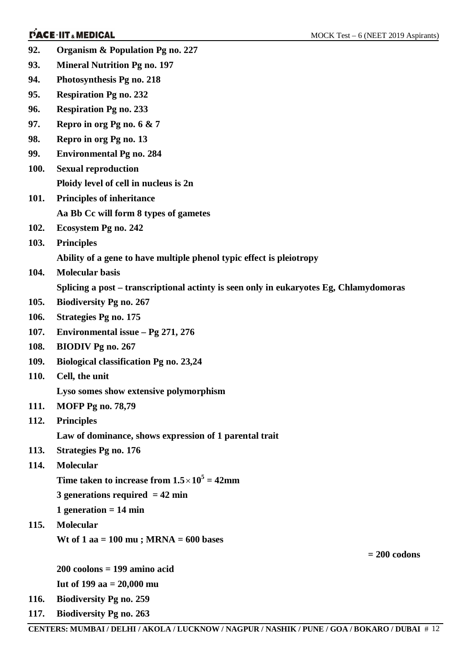- **92. Organism & Population Pg no. 227**
- **93. Mineral Nutrition Pg no. 197**
- **94. Photosynthesis Pg no. 218**
- **95. Respiration Pg no. 232**
- **96. Respiration Pg no. 233**
- **97. Repro in org Pg no. 6 & 7**
- **98. Repro in org Pg no. 13**
- **99. Environmental Pg no. 284**
- **100. Sexual reproduction Ploidy level of cell in nucleus is 2n**
- **101. Principles of inheritance Aa Bb Cc will form 8 types of gametes**
- **102. Ecosystem Pg no. 242**
- **103. Principles**

**Ability of a gene to have multiple phenol typic effect is pleiotropy** 

**104. Molecular basis**

**Splicing a post – transcriptional actinty is seen only in eukaryotes Eg, Chlamydomoras** 

- **105. Biodiversity Pg no. 267**
- **106. Strategies Pg no. 175**
- **107. Environmental issue – Pg 271, 276**
- **108. BIODIV Pg no. 267**
- **109. Biological classification Pg no. 23,24**
- **110. Cell, the unit**

**Lyso somes show extensive polymorphism**

- **111. MOFP Pg no. 78,79**
- **112. Principles Law of dominance, shows expression of 1 parental trait**
- **113. Strategies Pg no. 176**
- **114. Molecular** 
	- **Time taken to increase from**  $1.5 \times 10^5 = 42$ **mm**
	- **3 generations required = 42 min**
	- **1 generation = 14 min**
- **115. Molecular Wt of 1 aa = 100 mu ; MRNA = 600 bases**

**200 coolons = 199 amino acid Iut of 199 aa = 20,000 mu**

- **116. Biodiversity Pg no. 259**
- **117. Biodiversity Pg no. 263**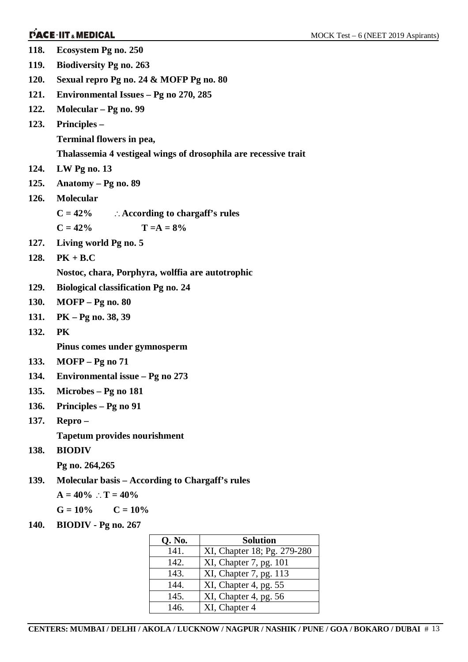| 118. | Ecosystem Pg no. 250                             |               |                                                                 |
|------|--------------------------------------------------|---------------|-----------------------------------------------------------------|
| 119. | <b>Biodiversity Pg no. 263</b>                   |               |                                                                 |
| 120. | Sexual repro Pg no. 24 & MOFP Pg no. 80          |               |                                                                 |
| 121. | Environmental Issues - Pg no 270, 285            |               |                                                                 |
| 122. | Molecular – Pg no. 99                            |               |                                                                 |
| 123. | Principles –                                     |               |                                                                 |
|      | Terminal flowers in pea,                         |               |                                                                 |
|      |                                                  |               | Thalassemia 4 vestigeal wings of drosophila are recessive trait |
| 124. | $LW$ Pg no. 13                                   |               |                                                                 |
| 125. | Anatomy – Pg no. 89                              |               |                                                                 |
| 126. | <b>Molecular</b>                                 |               |                                                                 |
|      | $C = 42\%$ : According to chargaff's rules       |               |                                                                 |
|      | $C = 42%$                                        | $T = A = 8\%$ |                                                                 |
| 127. | Living world Pg no. 5                            |               |                                                                 |
| 128. | $PK + B.C$                                       |               |                                                                 |
|      | Nostoc, chara, Porphyra, wolffia are autotrophic |               |                                                                 |
| 129. | <b>Biological classification Pg no. 24</b>       |               |                                                                 |
| 130. | <b>MOFP</b> – Pg no. 80                          |               |                                                                 |
| 131. | PK - Pg no. 38, 39                               |               |                                                                 |
| 132. | PK                                               |               |                                                                 |
|      | Pinus comes under gymnosperm                     |               |                                                                 |
| 133. | $MOFP - Pg$ no 71                                |               |                                                                 |
| 134. | Environmental issue - Pg no 273                  |               |                                                                 |
| 135. | Microbes - Pg no 181                             |               |                                                                 |
| 136. | Principles – Pg no 91                            |               |                                                                 |
| 137. | Repro-                                           |               |                                                                 |
|      | <b>Tapetum provides nourishment</b>              |               |                                                                 |
| 138. | <b>BIODIV</b>                                    |               |                                                                 |
|      | Pg no. 264,265                                   |               |                                                                 |
| 139. | Molecular basis – According to Chargaff's rules  |               |                                                                 |
|      | $A = 40\%$ : $T = 40\%$                          |               |                                                                 |
|      | $G = 10\%$ $C = 10\%$                            |               |                                                                 |
| 140. | BIODIV - Pg no. 267                              |               |                                                                 |
|      |                                                  | Q. No.        | <b>Solution</b>                                                 |
|      |                                                  | 141.          | XI. Chapter 18: Pg. 279-28                                      |

| Q. No. | <b>Solution</b>             |
|--------|-----------------------------|
| 141.   | XI, Chapter 18; Pg. 279-280 |
| 142.   | XI, Chapter 7, pg. 101      |
| 143.   | XI, Chapter 7, pg. 113      |
| 144.   | XI, Chapter 4, pg. 55       |
| 145.   | XI, Chapter 4, pg. 56       |
| 146.   | XI, Chapter 4               |

**CENTERS: MUMBAI / DELHI / AKOLA / LUCKNOW / NAGPUR / NASHIK / PUNE / GOA / BOKARO / DUBAI** # 13